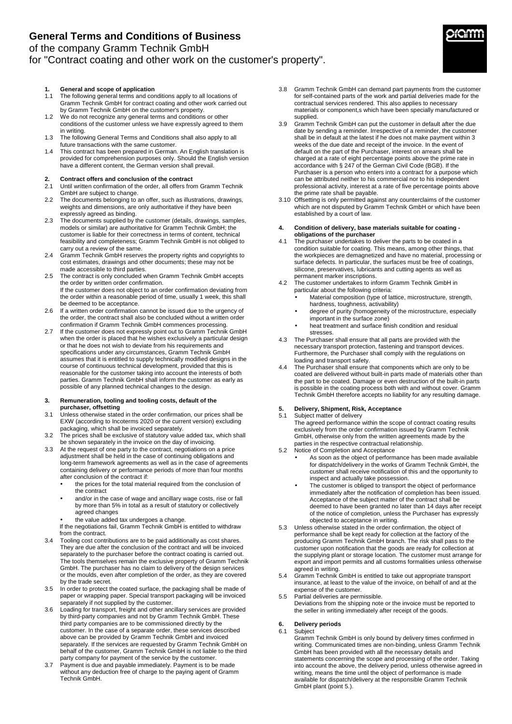### of the company Gramm Technik GmbH

## for "Contract coating and other work on the customer's property".

### **1. General and scope of application**

- 1.1 The following general terms and conditions apply to all locations of Gramm Technik GmbH for contract coating and other work carried out by Gramm Technik GmbH on the customer's property.
- 1.2 We do not recognize any general terms and conditions or other conditions of the customer unless we have expressly agreed to them in writing.
- 1.3 The following General Terms and Conditions shall also apply to all future transactions with the same customer.
- 1.4 This contract has been prepared in German. An English translation is provided for comprehension purposes only. Should the English version have a different content, the German version shall prevail.

# **2. Contract offers and conclusion of the contract**

- 2.1 Until written confirmation of the order, all offers from Gramm Technik GmbH are subject to change.
- 2.2 The documents belonging to an offer, such as illustrations, drawings, weights and dimensions, are only authoritative if they have been expressly agreed as binding.
- 2.3 The documents supplied by the customer (details, drawings, samples, models or similar) are authoritative for Gramm Technik GmbH; the customer is liable for their correctness in terms of content, technical feasibility and completeness; Gramm Technik GmbH is not obliged to carry out a review of the same.
- 2.4 Gramm Technik GmbH reserves the property rights and copyrights to cost estimates, drawings and other documents; these may not be made accessible to third parties.
- 2.5 The contract is only concluded when Gramm Technik GmbH accepts the order by written order confirmation. If the customer does not object to an order confirmation deviating from the order within a reasonable period of time, usually 1 week, this shall be deemed to be acceptance.
- 2.6 If a written order confirmation cannot be issued due to the urgency of the order, the contract shall also be concluded without a written order confirmation if Gramm Technik GmbH commences processing.
- 2.7 If the customer does not expressly point out to Gramm Technik GmbH when the order is placed that he wishes exclusively a particular design or that he does not wish to deviate from his requirements and specifications under any circumstances, Gramm Technik GmbH assumes that it is entitled to supply technically modified designs in the course of continuous technical development, provided that this is reasonable for the customer taking into account the interests of both parties. Gramm Technik GmbH shall inform the customer as early as possible of any planned technical changes to the design.

#### **3. Remuneration, tooling and tooling costs, default of the purchaser, offsetting**

- 3.1 Unless otherwise stated in the order confirmation, our prices shall be EXW (according to Incoterms 2020 or the current version) excluding packaging, which shall be invoiced separately.
- 3.2 The prices shall be exclusive of statutory value added tax, which shall be shown separately in the invoice on the day of invoicing.
- 3.3 At the request of one party to the contract, negotiations on a price adjustment shall be held in the case of continuing obligations and long-term framework agreements as well as in the case of agreements containing delivery or performance periods of more than four months after conclusion of the contract if:
	- the prices for the total material required from the conclusion of the contract
	- and/or in the case of wage and ancillary wage costs, rise or fall by more than 5% in total as a result of statutory or collectively agreed changes
	- the value added tax undergoes a change.
	- If the negotiations fail, Gramm Technik GmbH is entitled to withdraw from the contract.
- 3.4 Tooling cost contributions are to be paid additionally as cost shares. They are due after the conclusion of the contract and will be invoiced separately to the purchaser before the contract coating is carried out. The tools themselves remain the exclusive property of Gramm Technik GmbH. The purchaser has no claim to delivery of the design services or the moulds, even after completion of the order, as they are covered by the trade secret.
- 3.5 In order to protect the coated surface, the packaging shall be made of paper or wrapping paper. Special transport packaging will be invoiced separately if not supplied by the customer.
- 3.6 Loading for transport, freight and other ancillary services are provided by third-party companies and not by Gramm Technik GmbH. These third party companies are to be commissioned directly by the customer. In the case of a separate order, these services described above can be provided by Gramm Technik GmbH and invoiced separately. If the services are requested by Gramm Technik GmbH on behalf of the customer, Gramm Technik GmbH is not liable to the third party company for payment of the service by the customer.
- 3.7 Payment is due and payable immediately. Payment is to be made without any deduction free of charge to the paying agent of Gramm Technik GmbH.
- 3.8 Gramm Technik GmbH can demand part payments from the customer for self-contained parts of the work and partial deliveries made for the contractual services rendered. This also applies to necessary materials or component,s which have been specially manufactured or supplied.
- 3.9 Gramm Technik GmbH can put the customer in default after the due date by sending a reminder. Irrespective of a reminder, the customer shall be in default at the latest if he does not make payment within 3 weeks of the due date and receipt of the invoice. In the event of default on the part of the Purchaser, interest on arrears shall be charged at a rate of eight percentage points above the prime rate in accordance with § 247 of the German Civil Code (BGB). If the Purchaser is a person who enters into a contract for a purpose which can be attributed neither to his commercial nor to his independent professional activity, interest at a rate of five percentage points above the prime rate shall be payable.
- 3.10 Offsetting is only permitted against any counterclaims of the customer which are not disputed by Gramm Technik GmbH or which have been established by a court of law.

#### **4. Condition of delivery, base materials suitable for coating obligations of the purchaser**

- 4.1 The purchaser undertakes to deliver the parts to be coated in a condition suitable for coating. This means, among other things, that the workpieces are demagnetized and have no material, processing or surface defects. In particular, the surfaces must be free of coatings, silicone, preservatives, lubricants and cutting agents as well as permanent marker inscriptions.
- 4.2 The customer undertakes to inform Gramm Technik GmbH in particular about the following criteria:
	- Material composition (type of lattice, microstructure, strength, hardness, toughness, activability)
	- degree of purity (homogeneity of the microstructure, especially important in the surface zone)
	- heat treatment and surface finish condition and residual stresses.
- 4.3 The Purchaser shall ensure that all parts are provided with the necessary transport protection, fastening and transport devices. Furthermore, the Purchaser shall comply with the regulations on loading and transport safety.
- 4.4 The Purchaser shall ensure that components which are only to be coated are delivered without built-in parts made of materials other than the part to be coated. Damage or even destruction of the built-in parts is possible in the coating process both with and without cover. Gramm Technik GmbH therefore accepts no liability for any resulting damage.

# **5. Delivery, Shipment, Risk, Acceptance**

- Subject matter of delivery The agreed performance within the scope of contract coating results exclusively from the order confirmation issued by Gramm Technik GmbH, otherwise only from the written agreements made by the parties in the respective contractual relationship.
- 5.2 Notice of Completion and Acceptance
	- As soon as the object of performance has been made available for dispatch/delivery in the works of Gramm Technik GmbH, the customer shall receive notification of this and the opportunity to inspect and actually take possession.
	- The customer is obliged to transport the object of performance immediately after the notification of completion has been issued. Acceptance of the subject matter of the contract shall be deemed to have been granted no later than 14 days after receipt of the notice of completion, unless the Purchaser has expressly objected to acceptance in writing.
- 5.3 Unless otherwise stated in the order confirmation, the object of performance shall be kept ready for collection at the factory of the producing Gramm Technik GmbH branch. The risk shall pass to the customer upon notification that the goods are ready for collection at the supplying plant or storage location. The customer must arrange for export and import permits and all customs formalities unless otherwise agreed in writing.
- 5.4 Gramm Technik GmbH is entitled to take out appropriate transport insurance, at least to the value of the invoice, on behalf of and at the expense of the customer.
- 5.5 Partial deliveries are permissible.
- Deviations from the shipping note or the invoice must be reported to the seller in writing immediately after receipt of the goods.

### **6. Delivery periods**

6.1 Subject Gramm Technik GmbH is only bound by delivery times confirmed in writing. Communicated times are non-binding, unless Gramm Technik GmbH has been provided with all the necessary details and statements concerning the scope and processing of the order. Taking into account the above, the delivery period, unless otherwise agreed in writing, means the time until the object of performance is made available for dispatch/delivery at the responsible Gramm Technik GmbH plant (point 5.).

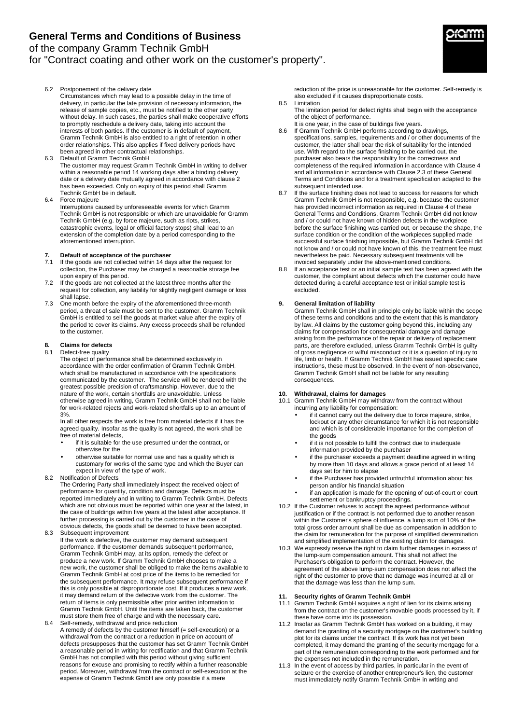# **General Terms and Conditions of Business**

of the company Gramm Technik GmbH

## for "Contract coating and other work on the customer's property".

- 6.2 Postponement of the delivery date Circumstances which may lead to a possible delay in the time of delivery, in particular the late provision of necessary information, the release of sample copies, etc., must be notified to the other party without delay. In such cases, the parties shall make cooperative efforts to promptly reschedule a delivery date, taking into account the interests of both parties. If the customer is in default of payment, Gramm Technik GmbH is also entitled to a right of retention in other order relationships. This also applies if fixed delivery periods have been agreed in other contractual relationships.
- 6.3 Default of Gramm Technik GmbH The customer may request Gramm Technik GmbH in writing to deliver within a reasonable period 14 working days after a binding delivery date or a delivery date mutually agreed in accordance with clause 2 has been exceeded. Only on expiry of this period shall Gramm Technik GmbH be in default.
- 6.4 Force majeure

Interruptions caused by unforeseeable events for which Gramm Technik GmbH is not responsible or which are unavoidable for Gramm Technik GmbH (e.g. by force majeure, such as riots, strikes, catastrophic events, legal or official factory stops) shall lead to an extension of the completion date by a period corresponding to the aforementioned interruption.

# **7. Default of acceptance of the purchaser**

- If the goods are not collected within 14 days after the request for collection, the Purchaser may be charged a reasonable storage fee upon expiry of this period.
- 7.2 If the goods are not collected at the latest three months after the request for collection, any liability for slightly negligent damage or loss shall lapse.
- 7.3 One month before the expiry of the aforementioned three-month period, a threat of sale must be sent to the customer. Gramm Technik GmbH is entitled to sell the goods at market value after the expiry of the period to cover its claims. Any excess proceeds shall be refunded to the customer.

#### **8. Claims for defects**  Defect-free quality

The object of performance shall be determined exclusively in accordance with the order confirmation of Gramm Technik GmbH, which shall be manufactured in accordance with the specifications communicated by the customer. The service will be rendered with the greatest possible precision of craftsmanship. However, due to the nature of the work, certain shortfalls are unavoidable. Unless otherwise agreed in writing, Gramm Technik GmbH shall not be liable for work-related rejects and work-related shortfalls up to an amount of 3%.

In all other respects the work is free from material defects if it has the agreed quality. Insofar as the quality is not agreed, the work shall be free of material defects,

- if it is suitable for the use presumed under the contract, or otherwise for the
- otherwise suitable for normal use and has a quality which is customary for works of the same type and which the Buyer can expect in view of the type of work.
- 8.2 Notification of Defects

The Ordering Party shall immediately inspect the received object of performance for quantity, condition and damage. Defects must be reported immediately and in writing to Gramm Technik GmbH. Defects which are not obvious must be reported within one year at the latest, in the case of buildings within five years at the latest after acceptance. If further processing is carried out by the customer in the case of obvious defects, the goods shall be deemed to have been accepted. 8.3 Subsequent improvement

- If the work is defective, the customer may demand subsequent performance. If the customer demands subsequent performance, Gramm Technik GmbH may, at its option, remedy the defect or produce a new work. If Gramm Technik GmbH chooses to make a new work, the customer shall be obliged to make the items available to Gramm Technik GmbH at cost price of the items to be remedied for the subsequent performance. It may refuse subsequent performance if this is only possible at disproportionate cost. If it produces a new work, it may demand return of the defective work from the customer. The return of items is only permissible after prior written information to Gramm Technik GmbH. Until the items are taken back, the customer must store them free of charge and with the necessary care.
- 8.4 Self-remedy, withdrawal and price reduction A remedy of defects by the customer himself (= self-execution) or a withdrawal from the contract or a reduction in price on account of defects presupposes that the customer has set Gramm Technik GmbH a reasonable period in writing for rectification and that Gramm Technik GmbH has not complied with this period without giving sufficient reasons for excuse and promising to rectify within a further reasonable period. Moreover, withdrawal from the contract or self-execution at the expense of Gramm Technik GmbH are only possible if a mere

reduction of the price is unreasonable for the customer. Self-remedy is also excluded if it causes disproportionate costs. 8.5 Limitation

- The limitation period for defect rights shall begin with the acceptance of the object of performance.
- It is one year, in the case of buildings five years.
- 8.6 If Gramm Technik GmbH performs according to drawings. specifications, samples, requirements and / or other documents of the customer, the latter shall bear the risk of suitability for the intended use. With regard to the surface finishing to be carried out, the purchaser also bears the responsibility for the correctness and completeness of the required information in accordance with Clause 4 and all information in accordance with Clause 2.3 of these General Terms and Conditions and for a treatment specification adapted to the subsequent intended use.
- If the surface finishing does not lead to success for reasons for which Gramm Technik GmbH is not responsible, e.g. because the customer has provided incorrect information as required in Clause 4 of these General Terms and Conditions, Gramm Technik GmbH did not know and / or could not have known of hidden defects in the workpiece before the surface finishing was carried out, or because the shape, the surface condition or the condition of the workpieces supplied made successful surface finishing impossible, but Gramm Technik GmbH did not know and / or could not have known of this, the treatment fee must nevertheless be paid. Necessary subsequent treatments will be invoiced separately under the above-mentioned conditions.
- 8.8 If an acceptance test or an initial sample test has been agreed with the customer, the complaint about defects which the customer could have detected during a careful acceptance test or initial sample test is excluded.

### **9. General limitation of liability**

Gramm Technik GmbH shall in principle only be liable within the scope of these terms and conditions and to the extent that this is mandatory by law. All claims by the customer going beyond this, including any claims for compensation for consequential damage and damage arising from the performance of the repair or delivery of replacement parts, are therefore excluded, unless Gramm Technik GmbH is quilty of gross negligence or wilful misconduct or it is a question of injury to life, limb or health. If Gramm Technik GmbH has issued specific care instructions, these must be observed. In the event of non-observance, Gramm Technik GmbH shall not be liable for any resulting consequences.

### **10. Withdrawal, claims for damages**

- 10.1 Gramm Technik GmbH may withdraw from the contract without incurring any liability for compensation:
	- if it cannot carry out the delivery due to force majeure, strike, lockout or any other circumstance for which it is not responsible and which is of considerable importance for the completion of the goods
	- if it is not possible to fulfill the contract due to inadequate information provided by the purchaser
	- if the purchaser exceeds a payment deadline agreed in writing by more than 10 days and allows a grace period of at least 14 days set for him to elapse
	- if the Purchaser has provided untruthful information about his person and/or his financial situation
	- if an application is made for the opening of out-of-court or court settlement or bankruptcy proceedings.
- 10.2 If the Customer refuses to accept the agreed performance without justification or if the contract is not performed due to another reason within the Customer's sphere of influence, a lump sum of 10% of the total gross order amount shall be due as compensation in addition to the claim for remuneration for the purpose of simplified determination and simplified implementation of the existing claim for damages.
- 10.3 We expressly reserve the right to claim further damages in excess of the lump-sum compensation amount. This shall not affect the Purchaser's obligation to perform the contract. However, the agreement of the above lump-sum compensation does not affect the right of the customer to prove that no damage was incurred at all or that the damage was less than the lump sum.

### **11. Security rights of Gramm Technik GmbH**

- 11.1 Gramm Technik GmbH acquires a right of lien for its claims arising from the contract on the customer's movable goods processed by it, if these have come into its possession.
- 11.2 Insofar as Gramm Technik GmbH has worked on a building, it may demand the granting of a security mortgage on the customer's building plot for its claims under the contract. If its work has not yet been completed, it may demand the granting of the security mortgage for a part of the remuneration corresponding to the work performed and for the expenses not included in the remuneration.
- 11.3 In the event of access by third parties, in particular in the event of seizure or the exercise of another entrepreneur's lien, the customer must immediately notify Gramm Technik GmbH in writing and